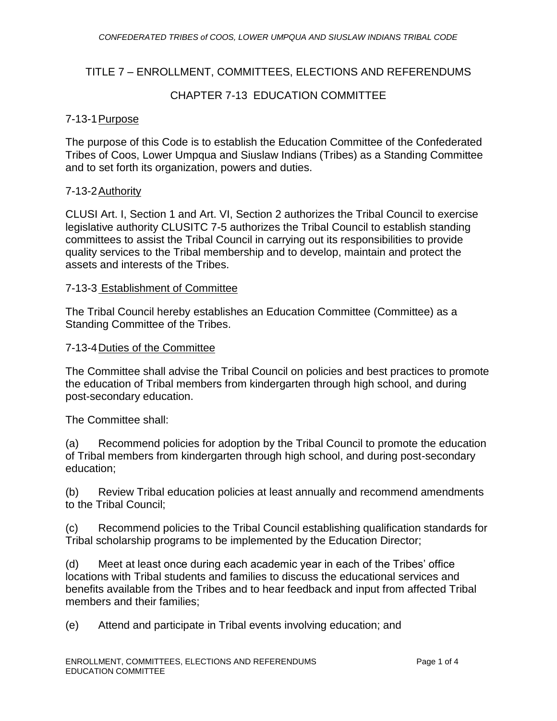## TITLE 7 – ENROLLMENT, COMMITTEES, ELECTIONS AND REFERENDUMS

## CHAPTER 7-13 EDUCATION COMMITTEE

#### 7-13-1Purpose

The purpose of this Code is to establish the Education Committee of the Confederated Tribes of Coos, Lower Umpqua and Siuslaw Indians (Tribes) as a Standing Committee and to set forth its organization, powers and duties.

#### 7-13-2Authority

CLUSI Art. I, Section 1 and Art. VI, Section 2 authorizes the Tribal Council to exercise legislative authority CLUSITC 7-5 authorizes the Tribal Council to establish standing committees to assist the Tribal Council in carrying out its responsibilities to provide quality services to the Tribal membership and to develop, maintain and protect the assets and interests of the Tribes.

#### 7-13-3 Establishment of Committee

The Tribal Council hereby establishes an Education Committee (Committee) as a Standing Committee of the Tribes.

#### 7-13-4Duties of the Committee

The Committee shall advise the Tribal Council on policies and best practices to promote the education of Tribal members from kindergarten through high school, and during post-secondary education.

The Committee shall:

(a) Recommend policies for adoption by the Tribal Council to promote the education of Tribal members from kindergarten through high school, and during post-secondary education;

(b) Review Tribal education policies at least annually and recommend amendments to the Tribal Council;

(c) Recommend policies to the Tribal Council establishing qualification standards for Tribal scholarship programs to be implemented by the Education Director;

(d) Meet at least once during each academic year in each of the Tribes' office locations with Tribal students and families to discuss the educational services and benefits available from the Tribes and to hear feedback and input from affected Tribal members and their families;

(e) Attend and participate in Tribal events involving education; and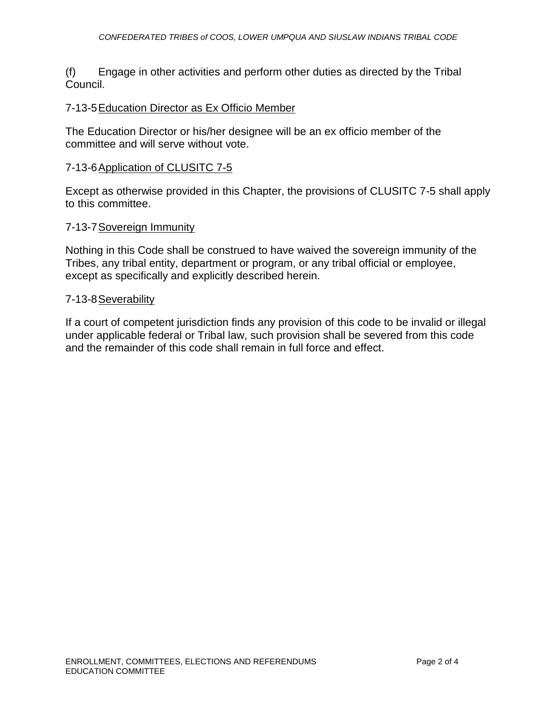(f) Engage in other activities and perform other duties as directed by the Tribal Council.

#### 7-13-5Education Director as Ex Officio Member

The Education Director or his/her designee will be an ex officio member of the committee and will serve without vote.

#### 7-13-6Application of CLUSITC 7-5

Except as otherwise provided in this Chapter, the provisions of CLUSITC 7-5 shall apply to this committee.

#### 7-13-7Sovereign Immunity

Nothing in this Code shall be construed to have waived the sovereign immunity of the Tribes, any tribal entity, department or program, or any tribal official or employee, except as specifically and explicitly described herein.

#### 7-13-8Severability

If a court of competent jurisdiction finds any provision of this code to be invalid or illegal under applicable federal or Tribal law, such provision shall be severed from this code and the remainder of this code shall remain in full force and effect.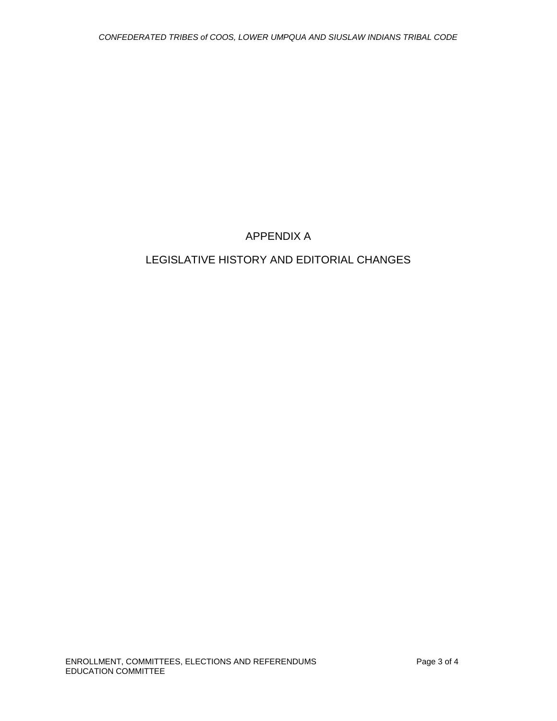## APPENDIX A

# LEGISLATIVE HISTORY AND EDITORIAL CHANGES